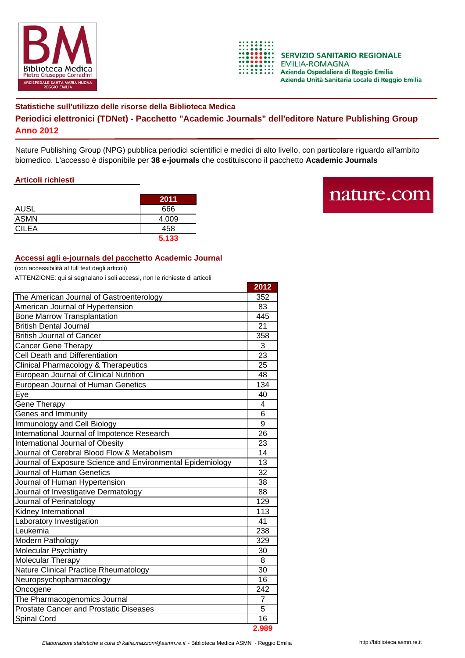



## **Statistiche sull'utilizzo delle risorse della Biblioteca Medica Periodici elettronici (TDNet) - Pacchetto "Academic Journals" dell'editore Nature Publishing Group Anno 2012**

Nature Publishing Group (NPG) pubblica periodici scientifici e medici di alto livello, con particolare riguardo all'ambito biomedico. L'accesso è disponibile per **38 e-journals** che costituiscono il pacchetto **Academic Journals**

## **Articoli richiesti**

|              | 2011  |
|--------------|-------|
| <b>AUSL</b>  | 666   |
| <b>ASMN</b>  | 4.009 |
| <b>CILEA</b> | 458   |
|              | 5.133 |

## nature.com

## **Accessi agli e-journals del pacchetto Academic Journal**

(con accessibilità al full text degli articoli)

ATTENZIONE: qui si segnalano i soli accessi, non le richieste di articoli

|                                                            | 2012            |
|------------------------------------------------------------|-----------------|
| The American Journal of Gastroenterology                   | 352             |
| American Journal of Hypertension                           |                 |
| <b>Bone Marrow Transplantation</b>                         | 445             |
| <b>British Dental Journal</b>                              | 21              |
| <b>British Journal of Cancer</b>                           | 358             |
| <b>Cancer Gene Therapy</b>                                 | 3               |
| <b>Cell Death and Differentiation</b>                      | 23              |
| <b>Clinical Pharmacology &amp; Therapeutics</b>            | 25              |
| European Journal of Clinical Nutrition                     | 48              |
| European Journal of Human Genetics                         | 134             |
| Eye                                                        | 40              |
| Gene Therapy                                               | 4               |
| Genes and Immunity                                         | 6               |
| Immunology and Cell Biology                                | 9               |
| International Journal of Impotence Research                | $\overline{26}$ |
| International Journal of Obesity                           | 23              |
| Journal of Cerebral Blood Flow & Metabolism                | 14              |
| Journal of Exposure Science and Environmental Epidemiology | 13              |
| Journal of Human Genetics                                  | $\overline{3}2$ |
| Journal of Human Hypertension                              | 38              |
| Journal of Investigative Dermatology                       | 88              |
| Journal of Perinatology                                    | 129             |
| <b>Kidney International</b>                                | 113             |
| Laboratory Investigation                                   | 41              |
| Leukemia                                                   | 238             |
| Modern Pathology                                           | 329             |
| Molecular Psychiatry                                       | 30              |
| Molecular Therapy                                          | 8               |
| <b>Nature Clinical Practice Rheumatology</b>               | 30              |
| Neuropsychopharmacology                                    | 16              |
| Oncogene                                                   | 242             |
| The Pharmacogenomics Journal                               |                 |
| <b>Prostate Cancer and Prostatic Diseases</b>              |                 |
| Spinal Cord                                                | 16              |
|                                                            | 2.989           |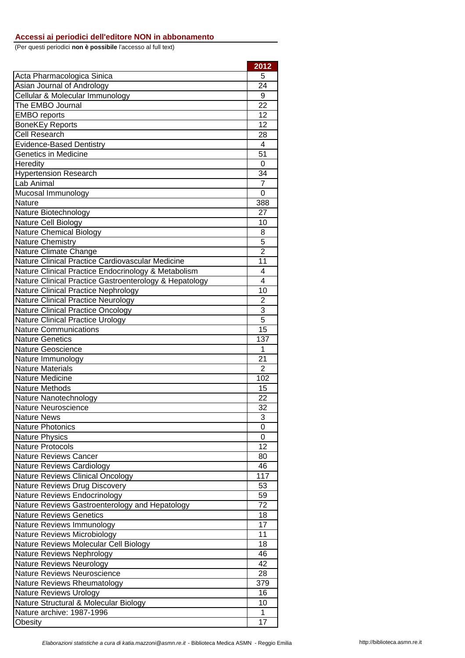(Per questi periodici **non è possibile** l'accesso al full text)

|                                                        | 2012           |
|--------------------------------------------------------|----------------|
| Acta Pharmacologica Sinica                             | 5              |
| Asian Journal of Andrology                             | 24             |
| Cellular & Molecular Immunology                        | 9              |
| The EMBO Journal                                       | 22             |
| <b>EMBO</b> reports                                    | 12             |
| <b>BoneKEy Reports</b>                                 | 12             |
| <b>Cell Research</b>                                   | 28             |
| <b>Evidence-Based Dentistry</b>                        | 4              |
| <b>Genetics in Medicine</b>                            | 51             |
| Heredity                                               | 0              |
| <b>Hypertension Research</b>                           | 34             |
| Lab Animal                                             | $\overline{7}$ |
| Mucosal Immunology                                     | 0              |
| Nature                                                 | 388            |
| Nature Biotechnology                                   | 27             |
| Nature Cell Biology                                    | 10             |
| Nature Chemical Biology                                | 8              |
| <b>Nature Chemistry</b>                                | 5              |
| Nature Climate Change                                  | $\overline{2}$ |
| Nature Clinical Practice Cardiovascular Medicine       | 11             |
| Nature Clinical Practice Endocrinology & Metabolism    | $\overline{4}$ |
| Nature Clinical Practice Gastroenterology & Hepatology | 4              |
| Nature Clinical Practice Nephrology                    | 10             |
| <b>Nature Clinical Practice Neurology</b>              | $\overline{c}$ |
| <b>Nature Clinical Practice Oncology</b>               | 3              |
| <b>Nature Clinical Practice Urology</b>                | $\overline{5}$ |
| <b>Nature Communications</b>                           | 15             |
| <b>Nature Genetics</b>                                 | 137            |
|                                                        |                |
| <b>Nature Geoscience</b>                               | 1              |
| Nature Immunology                                      | 21             |
| <b>Nature Materials</b>                                | 2              |
| Nature Medicine                                        | 102            |
| <b>Nature Methods</b>                                  | 15             |
| Nature Nanotechnology                                  | 22             |
| Nature Neuroscience                                    | 32             |
| <b>Nature News</b>                                     | 3              |
| <b>Nature Photonics</b>                                | 0              |
| <b>Nature Physics</b>                                  | 0              |
| <b>Nature Protocols</b>                                | 12             |
| <b>Nature Reviews Cancer</b>                           | 80             |
| <b>Nature Reviews Cardiology</b>                       | 46             |
| Nature Reviews Clinical Oncology                       | 117            |
| Nature Reviews Drug Discovery                          | 53             |
| Nature Reviews Endocrinology                           | 59             |
| Nature Reviews Gastroenterology and Hepatology         | 72             |
| <b>Nature Reviews Genetics</b>                         | 18             |
| Nature Reviews Immunology                              | 17             |
| Nature Reviews Microbiology                            | 11             |
| Nature Reviews Molecular Cell Biology                  | 18             |
| Nature Reviews Nephrology                              | 46             |
| <b>Nature Reviews Neurology</b>                        | 42             |
| <b>Nature Reviews Neuroscience</b>                     | 28             |
| Nature Reviews Rheumatology                            | 379            |
| <b>Nature Reviews Urology</b>                          | 16             |
| Nature Structural & Molecular Biology                  | 10             |
| Nature archive: 1987-1996<br>Obesity                   | 1<br>17        |